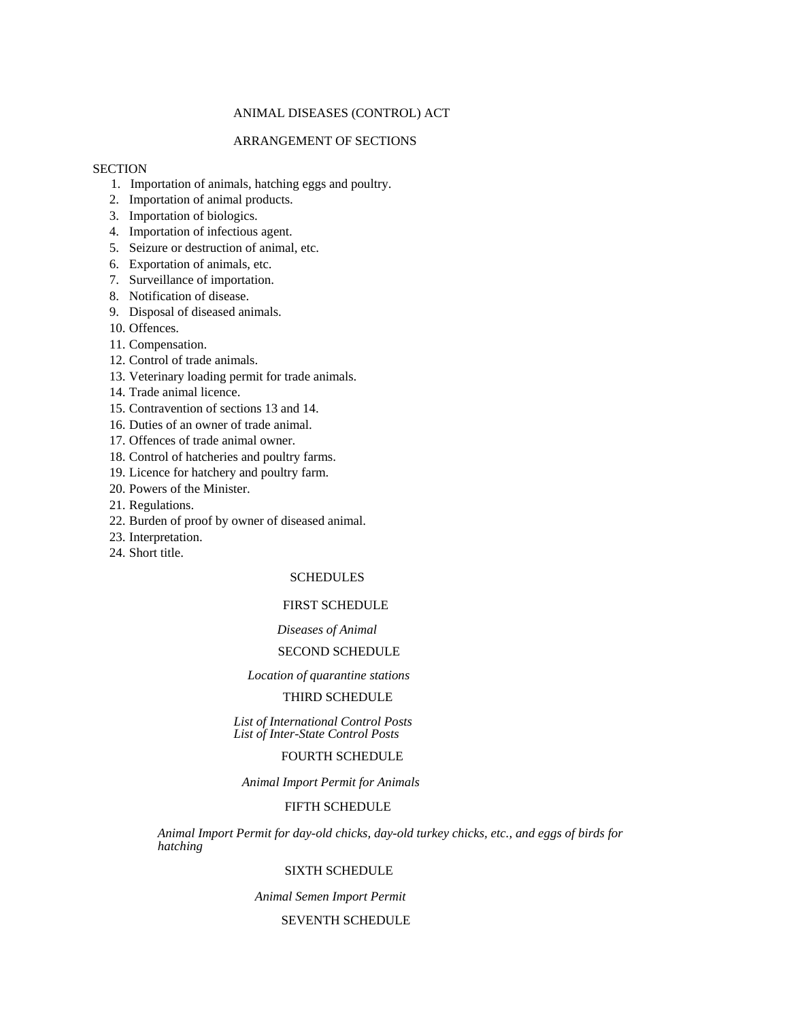# ANIMAL DISEASES (CONTROL) ACT

# ARRANGEMENT OF SECTIONS

## **SECTION**

- 1. Importation of animals, hatching eggs and poultry.
- 2. Importation of animal products.
- 3. Importation of biologics.
- 4. Importation of infectious agent.
- 5. Seizure or destruction of animal, etc.
- 6. Exportation of animals, etc.
- 7. Surveillance of importation.
- 8. Notification of disease.
- 9. Disposal of diseased animals.
- 10. Offences.
- 11. Compensation.
- 12. Control of trade animals.
- 13. Veterinary loading permit for trade animals.
- 14. Trade animal licence.
- 15. Contravention of sections 13 and 14.
- 16. Duties of an owner of trade animal.
- 17. Offences of trade animal owner.
- 18. Control of hatcheries and poultry farms.
- 19. Licence for hatchery and poultry farm.
- 20. Powers of the Minister.
- 21. Regulations.
- 22. Burden of proof by owner of diseased animal.
- 23. Interpretation.
- 24. Short title.

## SCHEDULES

#### FIRST SCHEDULE

#### *Diseases of Animal*

### SECOND SCHEDULE

#### *Location of quarantine stations*

# THIRD SCHEDULE

*List of International Control Posts List of Inter-State Control Posts* 

# FOURTH SCHEDULE

*Animal Import Permit for Animals* 

#### FIFTH SCHEDULE

*Animal Import Permit for day-old chicks, day-old turkey chicks, etc., and eggs of birds for hatching* 

#### SIXTH SCHEDULE

*Animal Semen Import Permit* 

#### SEVENTH SCHEDULE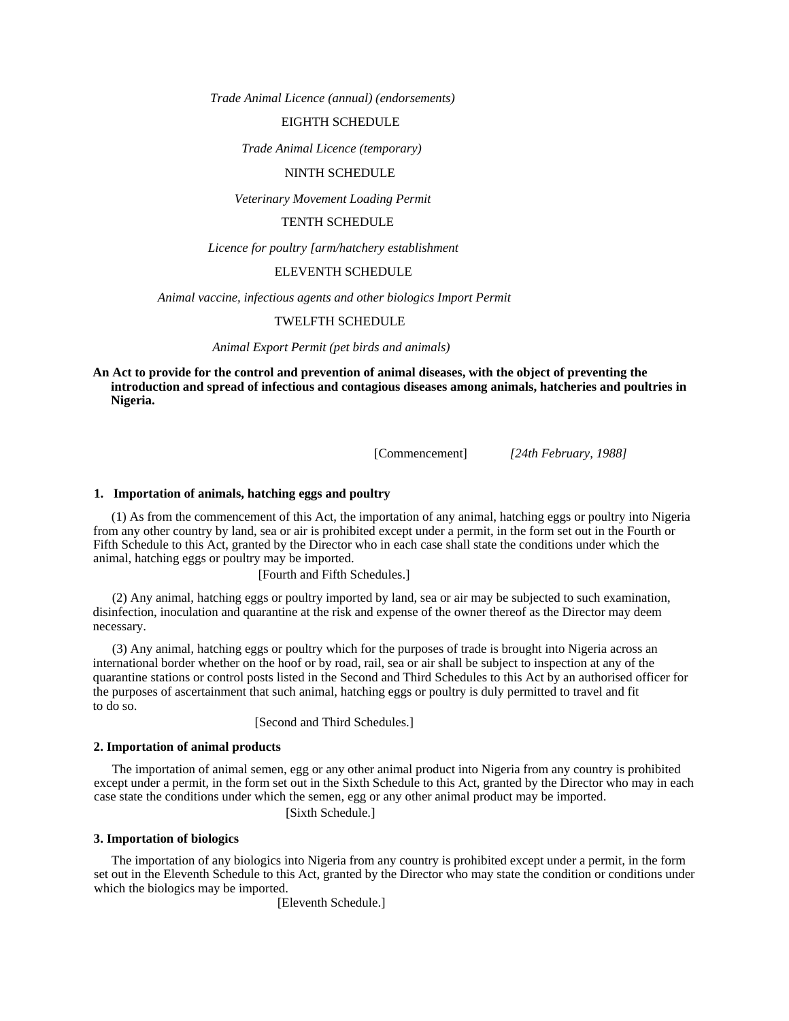*Trade Animal Licence (annual) (endorsements)* 

#### EIGHTH SCHEDULE

*Trade Animal Licence (temporary)* 

#### NINTH SCHEDULE

*Veterinary Movement Loading Permit* 

# TENTH SCHEDULE

*Licence for poultry [arm/hatchery establishment* 

#### ELEVENTH SCHEDULE

*Animal vaccine, infectious agents and other biologics Import Permit* 

# TWELFTH SCHEDULE

*Animal Export Permit (pet birds and animals)* 

**An Act to provide for the control and prevention of animal diseases, with the object of preventing the introduction and spread of infectious and contagious diseases among animals, hatcheries and poultries in Nigeria.** 

[Commencement] *[24th February, 1988]* 

#### **1. Importation of animals, hatching eggs and poultry**

(1) As from the commencement of this Act, the importation of any animal, hatching eggs or poultry into Nigeria from any other country by land, sea or air is prohibited except under a permit, in the form set out in the Fourth or Fifth Schedule to this Act, granted by the Director who in each case shall state the conditions under which the animal, hatching eggs or poultry may be imported.

[Fourth and Fifth Schedules.]

(2) Any animal, hatching eggs or poultry imported by land, sea or air may be subjected to such examination, disinfection, inoculation and quarantine at the risk and expense of the owner thereof as the Director may deem necessary.

(3) Any animal, hatching eggs or poultry which for the purposes of trade is brought into Nigeria across an international border whether on the hoof or by road, rail, sea or air shall be subject to inspection at any of the quarantine stations or control posts listed in the Second and Third Schedules to this Act by an authorised officer for the purposes of ascertainment that such animal, hatching eggs or poultry is duly permitted to travel and fit to do so.

[Second and Third Schedules.]

#### **2. Importation of animal products**

The importation of animal semen, egg or any other animal product into Nigeria from any country is prohibited except under a permit, in the form set out in the Sixth Schedule to this Act, granted by the Director who may in each case state the conditions under which the semen, egg or any other animal product may be imported.

[Sixth Schedule.]

# **3. Importation of biologics**

The importation of any biologics into Nigeria from any country is prohibited except under a permit, in the form set out in the Eleventh Schedule to this Act, granted by the Director who may state the condition or conditions under which the biologics may be imported.

[Eleventh Schedule.]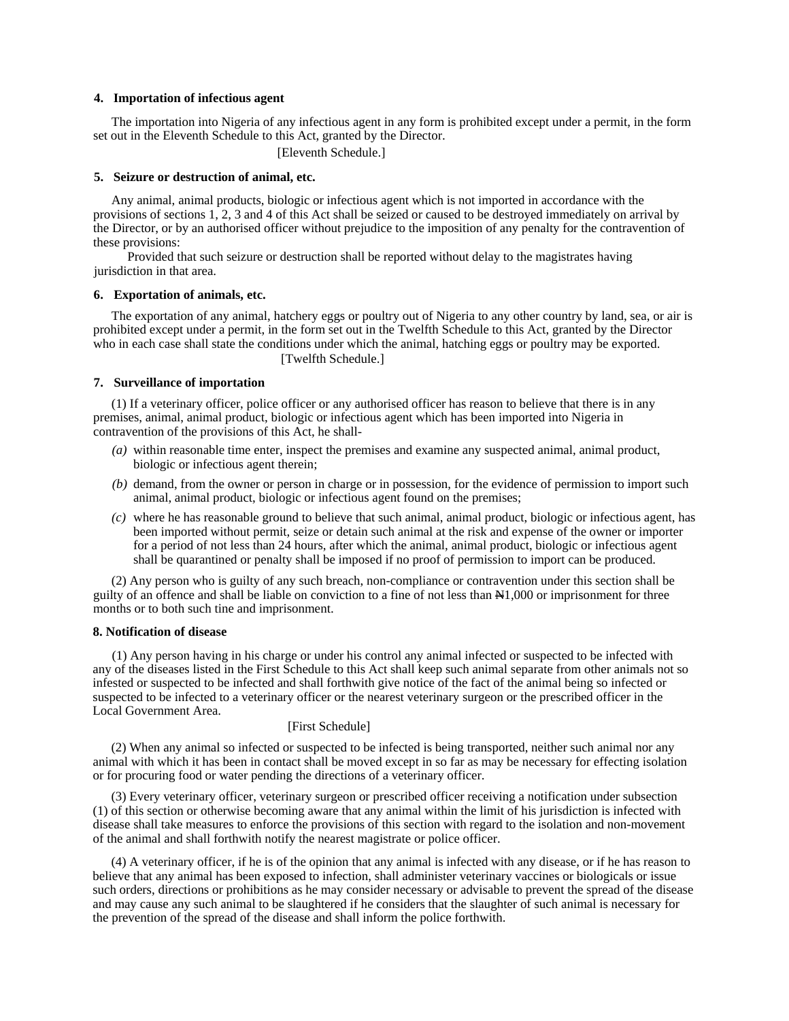#### **4. Importation of infectious agent**

The importation into Nigeria of any infectious agent in any form is prohibited except under a permit, in the form set out in the Eleventh Schedule to this Act, granted by the Director.

[Eleventh Schedule.]

#### **5. Seizure or destruction of animal, etc.**

Any animal, animal products, biologic or infectious agent which is not imported in accordance with the provisions of sections 1, 2, 3 and 4 of this Act shall be seized or caused to be destroyed immediately on arrival by the Director, or by an authorised officer without prejudice to the imposition of any penalty for the contravention of these provisions:

Provided that such seizure or destruction shall be reported without delay to the magistrates having jurisdiction in that area.

#### **6. Exportation of animals, etc.**

The exportation of any animal, hatchery eggs or poultry out of Nigeria to any other country by land, sea, or air is prohibited except under a permit, in the form set out in the Twelfth Schedule to this Act, granted by the Director who in each case shall state the conditions under which the animal, hatching eggs or poultry may be exported. [Twelfth Schedule.]

# **7. Surveillance of importation**

(1) If a veterinary officer, police officer or any authorised officer has reason to believe that there is in any premises, animal, animal product, biologic or infectious agent which has been imported into Nigeria in contravention of the provisions of this Act, he shall-

- *(a)* within reasonable time enter, inspect the premises and examine any suspected animal, animal product, biologic or infectious agent therein;
- *(b)* demand, from the owner or person in charge or in possession, for the evidence of permission to import such animal, animal product, biologic or infectious agent found on the premises;
- *(c)* where he has reasonable ground to believe that such animal, animal product, biologic or infectious agent, has been imported without permit, seize or detain such animal at the risk and expense of the owner or importer for a period of not less than 24 hours, after which the animal, animal product, biologic or infectious agent shall be quarantined or penalty shall be imposed if no proof of permission to import can be produced.

(2) Any person who is guilty of any such breach, non-compliance or contravention under this section shall be guilty of an offence and shall be liable on conviction to a fine of not less than N1,000 or imprisonment for three months or to both such tine and imprisonment.

#### **8. Notification of disease**

(1) Any person having in his charge or under his control any animal infected or suspected to be infected with any of the diseases listed in the First Schedule to this Act shall keep such animal separate from other animals not so infested or suspected to be infected and shall forthwith give notice of the fact of the animal being so infected or suspected to be infected to a veterinary officer or the nearest veterinary surgeon or the prescribed officer in the Local Government Area.

#### [First Schedule]

(2) When any animal so infected or suspected to be infected is being transported, neither such animal nor any animal with which it has been in contact shall be moved except in so far as may be necessary for effecting isolation or for procuring food or water pending the directions of a veterinary officer.

(3) Every veterinary officer, veterinary surgeon or prescribed officer receiving a notification under subsection (1) of this section or otherwise becoming aware that any animal within the limit of his jurisdiction is infected with disease shall take measures to enforce the provisions of this section with regard to the isolation and non-movement of the animal and shall forthwith notify the nearest magistrate or police officer.

(4) A veterinary officer, if he is of the opinion that any animal is infected with any disease, or if he has reason to believe that any animal has been exposed to infection, shall administer veterinary vaccines or biologicals or issue such orders, directions or prohibitions as he may consider necessary or advisable to prevent the spread of the disease and may cause any such animal to be slaughtered if he considers that the slaughter of such animal is necessary for the prevention of the spread of the disease and shall inform the police forthwith.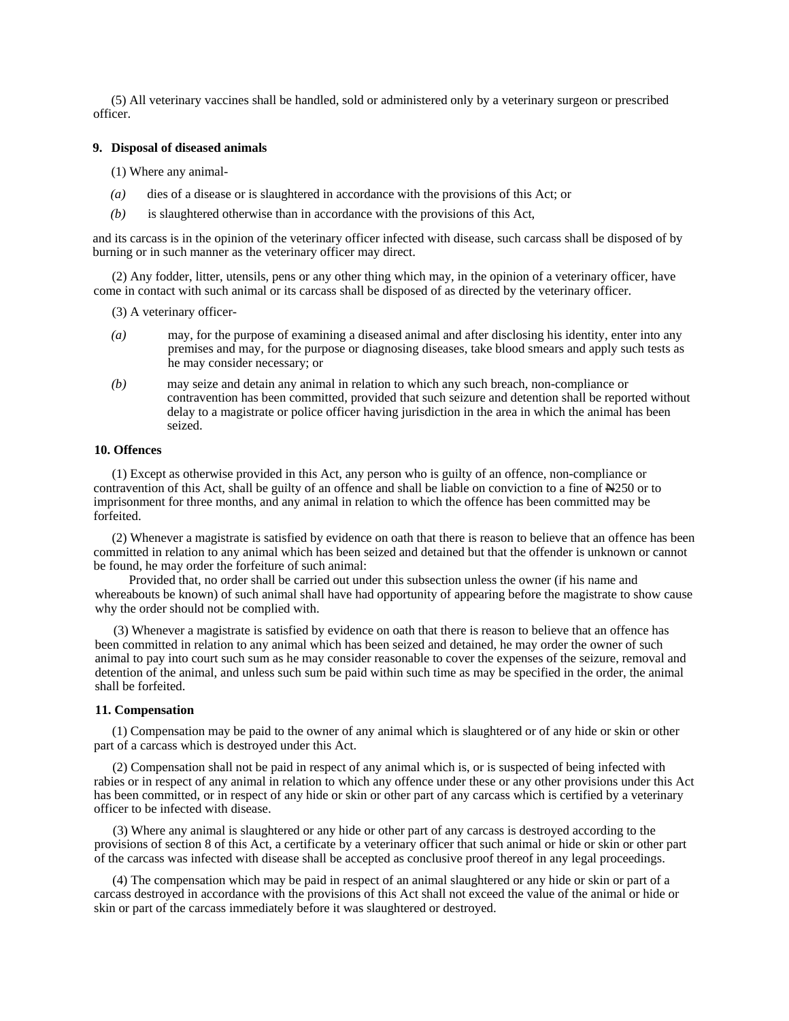(5) All veterinary vaccines shall be handled, sold or administered only by a veterinary surgeon or prescribed officer.

#### **9. Disposal of diseased animals**

(1) Where any animal-

- *(a)* dies of a disease or is slaughtered in accordance with the provisions of this Act; or
- *(b)* is slaughtered otherwise than in accordance with the provisions of this Act,

and its carcass is in the opinion of the veterinary officer infected with disease, such carcass shall be disposed of by burning or in such manner as the veterinary officer may direct.

(2) Any fodder, litter, utensils, pens or any other thing which may, in the opinion of a veterinary officer, have come in contact with such animal or its carcass shall be disposed of as directed by the veterinary officer.

(3) A veterinary officer-

- *(a)* may, for the purpose of examining a diseased animal and after disclosing his identity, enter into any premises and may, for the purpose or diagnosing diseases, take blood smears and apply such tests as he may consider necessary; or
- *(b)* may seize and detain any animal in relation to which any such breach, non-compliance or contravention has been committed, provided that such seizure and detention shall be reported without delay to a magistrate or police officer having jurisdiction in the area in which the animal has been seized.

### **10. Offences**

(1) Except as otherwise provided in this Act, any person who is guilty of an offence, non-compliance or contravention of this Act, shall be guilty of an offence and shall be liable on conviction to a fine of N250 or to imprisonment for three months, and any animal in relation to which the offence has been committed may be forfeited.

(2) Whenever a magistrate is satisfied by evidence on oath that there is reason to believe that an offence has been committed in relation to any animal which has been seized and detained but that the offender is unknown or cannot be found, he may order the forfeiture of such animal:

Provided that, no order shall be carried out under this subsection unless the owner (if his name and whereabouts be known) of such animal shall have had opportunity of appearing before the magistrate to show cause why the order should not be complied with.

(3) Whenever a magistrate is satisfied by evidence on oath that there is reason to believe that an offence has been committed in relation to any animal which has been seized and detained, he may order the owner of such animal to pay into court such sum as he may consider reasonable to cover the expenses of the seizure, removal and detention of the animal, and unless such sum be paid within such time as may be specified in the order, the animal shall be forfeited.

#### **11. Compensation**

(1) Compensation may be paid to the owner of any animal which is slaughtered or of any hide or skin or other part of a carcass which is destroyed under this Act.

(2) Compensation shall not be paid in respect of any animal which is, or is suspected of being infected with rabies or in respect of any animal in relation to which any offence under these or any other provisions under this Act has been committed, or in respect of any hide or skin or other part of any carcass which is certified by a veterinary officer to be infected with disease.

(3) Where any animal is slaughtered or any hide or other part of any carcass is destroyed according to the provisions of section 8 of this Act, a certificate by a veterinary officer that such animal or hide or skin or other part of the carcass was infected with disease shall be accepted as conclusive proof thereof in any legal proceedings.

(4) The compensation which may be paid in respect of an animal slaughtered or any hide or skin or part of a carcass destroyed in accordance with the provisions of this Act shall not exceed the value of the animal or hide or skin or part of the carcass immediately before it was slaughtered or destroyed.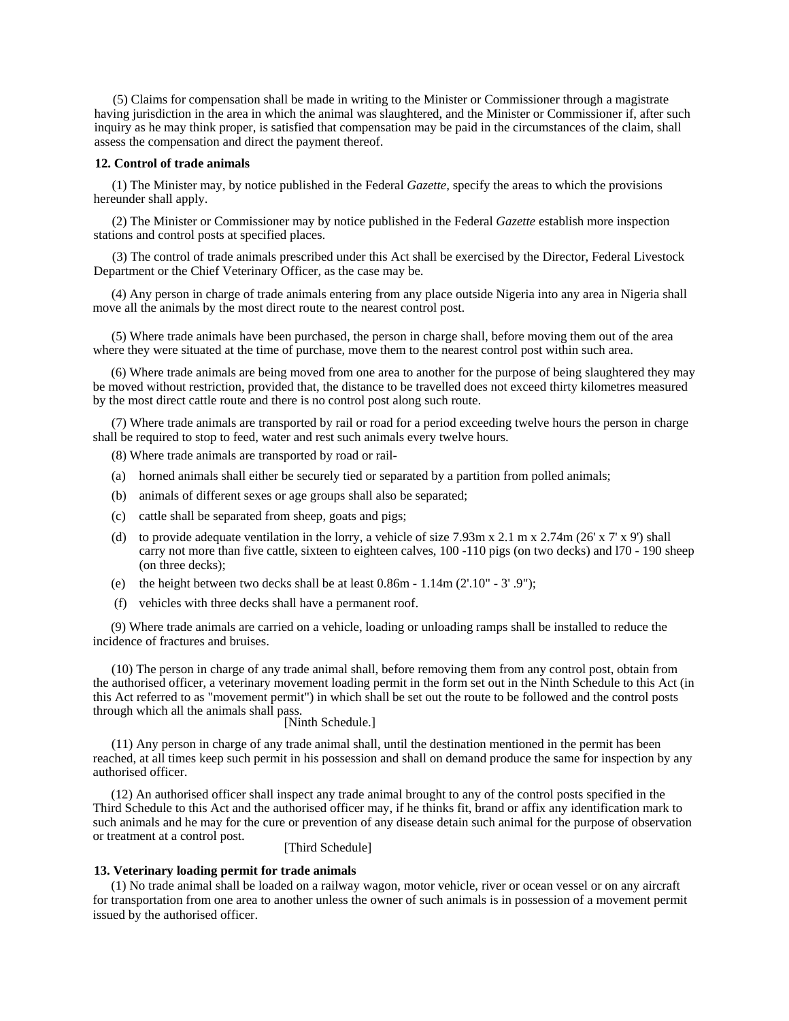(5) Claims for compensation shall be made in writing to the Minister or Commissioner through a magistrate having jurisdiction in the area in which the animal was slaughtered, and the Minister or Commissioner if, after such inquiry as he may think proper, is satisfied that compensation may be paid in the circumstances of the claim, shall assess the compensation and direct the payment thereof.

#### **12. Control of trade animals**

(1) The Minister may, by notice published in the Federal *Gazette,* specify the areas to which the provisions hereunder shall apply.

(2) The Minister or Commissioner may by notice published in the Federal *Gazette* establish more inspection stations and control posts at specified places.

(3) The control of trade animals prescribed under this Act shall be exercised by the Director, Federal Livestock Department or the Chief Veterinary Officer, as the case may be.

(4) Any person in charge of trade animals entering from any place outside Nigeria into any area in Nigeria shall move all the animals by the most direct route to the nearest control post.

(5) Where trade animals have been purchased, the person in charge shall, before moving them out of the area where they were situated at the time of purchase, move them to the nearest control post within such area.

(6) Where trade animals are being moved from one area to another for the purpose of being slaughtered they may be moved without restriction, provided that, the distance to be travelled does not exceed thirty kilometres measured by the most direct cattle route and there is no control post along such route.

(7) Where trade animals are transported by rail or road for a period exceeding twelve hours the person in charge shall be required to stop to feed, water and rest such animals every twelve hours.

(8) Where trade animals are transported by road or rail-

- (a) horned animals shall either be securely tied or separated by a partition from polled animals;
- (b) animals of different sexes or age groups shall also be separated;
- (c) cattle shall be separated from sheep, goats and pigs;
- (d) to provide adequate ventilation in the lorry, a vehicle of size  $7.93 \text{m} \times 2.1 \text{ m} \times 2.74 \text{m}$  (26' x 7' x 9') shall carry not more than five cattle, sixteen to eighteen calves, 100 -110 pigs (on two decks) and l70 - 190 sheep (on three decks);
- (e) the height between two decks shall be at least  $0.86m 1.14m (2'.10'' 3'.9'')$ ;
- (f) vehicles with three decks shall have a permanent roof.

(9) Where trade animals are carried on a vehicle, loading or unloading ramps shall be installed to reduce the incidence of fractures and bruises.

(10) The person in charge of any trade animal shall, before removing them from any control post, obtain from the authorised officer, a veterinary movement loading permit in the form set out in the Ninth Schedule to this Act (in this Act referred to as "movement permit") in which shall be set out the route to be followed and the control posts through which all the animals shall pass. [Ninth Schedule.]

(11) Any person in charge of any trade animal shall, until the destination mentioned in the permit has been reached, at all times keep such permit in his possession and shall on demand produce the same for inspection by any authorised officer.

(12) An authorised officer shall inspect any trade animal brought to any of the control posts specified in the Third Schedule to this Act and the authorised officer may, if he thinks fit, brand or affix any identification mark to such animals and he may for the cure or prevention of any disease detain such animal for the purpose of observation or treatment at a control post. [Third Schedule]

#### **13. Veterinary loading permit for trade animals**

(1) No trade animal shall be loaded on a railway wagon, motor vehicle, river or ocean vessel or on any aircraft for transportation from one area to another unless the owner of such animals is in possession of a movement permit issued by the authorised officer.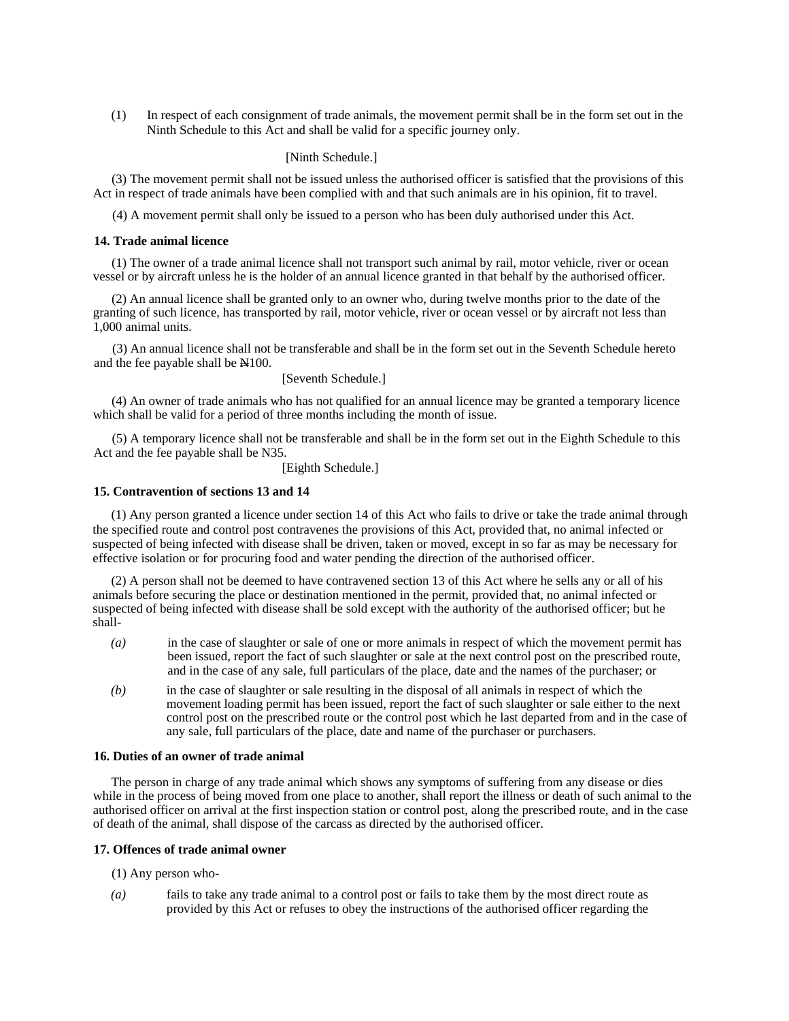(1) In respect of each consignment of trade animals, the movement permit shall be in the form set out in the Ninth Schedule to this Act and shall be valid for a specific journey only.

#### [Ninth Schedule.]

(3) The movement permit shall not be issued unless the authorised officer is satisfied that the provisions of this Act in respect of trade animals have been complied with and that such animals are in his opinion, fit to travel.

(4) A movement permit shall only be issued to a person who has been duly authorised under this Act.

#### **14. Trade animal licence**

(1) The owner of a trade animal licence shall not transport such animal by rail, motor vehicle, river or ocean vessel or by aircraft unless he is the holder of an annual licence granted in that behalf by the authorised officer.

(2) An annual licence shall be granted only to an owner who, during twelve months prior to the date of the granting of such licence, has transported by rail, motor vehicle, river or ocean vessel or by aircraft not less than 1,000 animal units.

(3) An annual licence shall not be transferable and shall be in the form set out in the Seventh Schedule hereto and the fee payable shall be  $\mathbb{H}100$ .

[Seventh Schedule.]

(4) An owner of trade animals who has not qualified for an annual licence may be granted a temporary licence which shall be valid for a period of three months including the month of issue.

(5) A temporary licence shall not be transferable and shall be in the form set out in the Eighth Schedule to this Act and the fee payable shall be N35.

[Eighth Schedule.]

#### **15. Contravention of sections 13 and 14**

(1) Any person granted a licence under section 14 of this Act who fails to drive or take the trade animal through the specified route and control post contravenes the provisions of this Act, provided that, no animal infected or suspected of being infected with disease shall be driven, taken or moved, except in so far as may be necessary for effective isolation or for procuring food and water pending the direction of the authorised officer.

(2) A person shall not be deemed to have contravened section 13 of this Act where he sells any or all of his animals before securing the place or destination mentioned in the permit, provided that, no animal infected or suspected of being infected with disease shall be sold except with the authority of the authorised officer; but he shall-

- *(a)* in the case of slaughter or sale of one or more animals in respect of which the movement permit has been issued, report the fact of such slaughter or sale at the next control post on the prescribed route, and in the case of any sale, full particulars of the place, date and the names of the purchaser; or
- *(b)* in the case of slaughter or sale resulting in the disposal of all animals in respect of which the movement loading permit has been issued, report the fact of such slaughter or sale either to the next control post on the prescribed route or the control post which he last departed from and in the case of any sale, full particulars of the place, date and name of the purchaser or purchasers.

#### **16. Duties of an owner of trade animal**

The person in charge of any trade animal which shows any symptoms of suffering from any disease or dies while in the process of being moved from one place to another, shall report the illness or death of such animal to the authorised officer on arrival at the first inspection station or control post, along the prescribed route, and in the case of death of the animal, shall dispose of the carcass as directed by the authorised officer.

#### **17. Offences of trade animal owner**

(1) Any person who-

*(a)* fails to take any trade animal to a control post or fails to take them by the most direct route as provided by this Act or refuses to obey the instructions of the authorised officer regarding the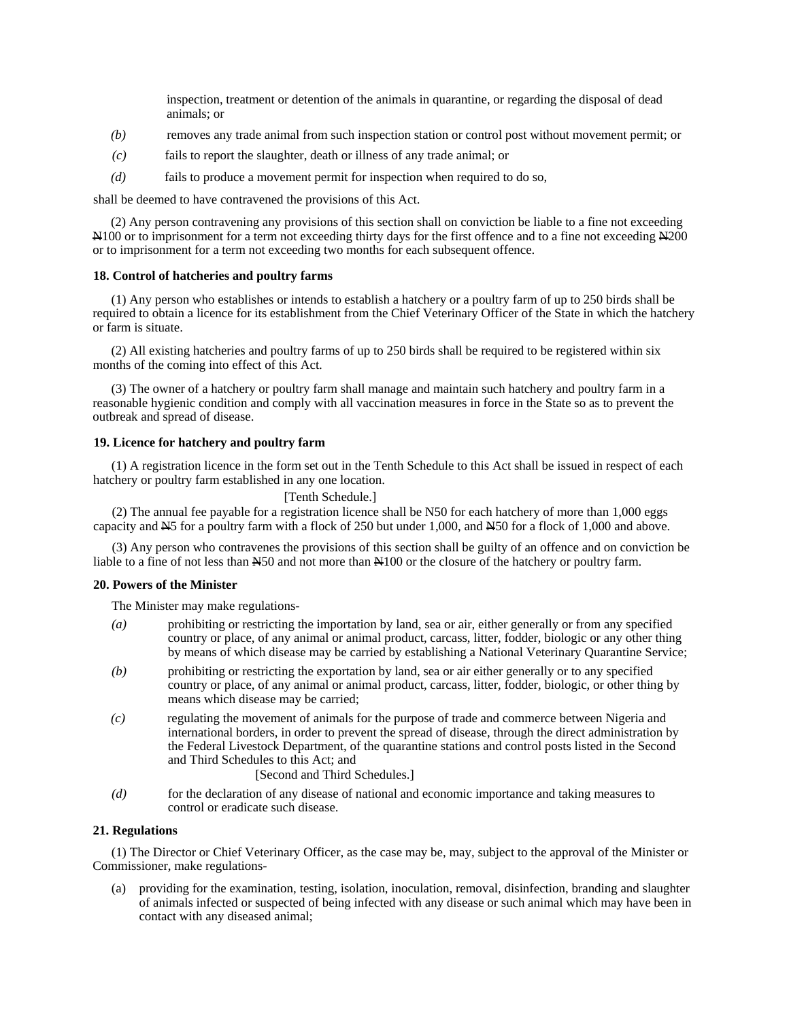inspection, treatment or detention of the animals in quarantine, or regarding the disposal of dead animals; or

- *(b)* removes any trade animal from such inspection station or control post without movement permit; or
- *(c)* fails to report the slaughter, death or illness of any trade animal; or
- *(d)* fails to produce a movement permit for inspection when required to do so,

shall be deemed to have contravened the provisions of this Act.

(2) Any person contravening any provisions of this section shall on conviction be liable to a fine not exceeding N100 or to imprisonment for a term not exceeding thirty days for the first offence and to a fine not exceeding N200 or to imprisonment for a term not exceeding two months for each subsequent offence.

# **18. Control of hatcheries and poultry farms**

(1) Any person who establishes or intends to establish a hatchery or a poultry farm of up to 250 birds shall be required to obtain a licence for its establishment from the Chief Veterinary Officer of the State in which the hatchery or farm is situate.

(2) All existing hatcheries and poultry farms of up to 250 birds shall be required to be registered within six months of the coming into effect of this Act.

(3) The owner of a hatchery or poultry farm shall manage and maintain such hatchery and poultry farm in a reasonable hygienic condition and comply with all vaccination measures in force in the State so as to prevent the outbreak and spread of disease.

#### **19. Licence for hatchery and poultry farm**

(1) A registration licence in the form set out in the Tenth Schedule to this Act shall be issued in respect of each hatchery or poultry farm established in any one location.

# [Tenth Schedule.]

(2) The annual fee payable for a registration licence shall be N50 for each hatchery of more than 1,000 eggs capacity and  $\cancel{\text{NS}}$  for a poultry farm with a flock of 250 but under 1,000, and  $\cancel{\text{NS}}$  for a flock of 1,000 and above.

(3) Any person who contravenes the provisions of this section shall be guilty of an offence and on conviction be liable to a fine of not less than  $\frac{150}{100}$  and not more than  $\frac{100}{100}$  or the closure of the hatchery or poultry farm.

#### **20. Powers of the Minister**

The Minister may make regulations-

- *(a)* prohibiting or restricting the importation by land, sea or air, either generally or from any specified country or place, of any animal or animal product, carcass, litter, fodder, biologic or any other thing by means of which disease may be carried by establishing a National Veterinary Quarantine Service;
- *(b)* prohibiting or restricting the exportation by land, sea or air either generally or to any specified country or place, of any animal or animal product, carcass, litter, fodder, biologic, or other thing by means which disease may be carried;
- *(c)* regulating the movement of animals for the purpose of trade and commerce between Nigeria and international borders, in order to prevent the spread of disease, through the direct administration by the Federal Livestock Department, of the quarantine stations and control posts listed in the Second and Third Schedules to this Act; and

# [Second and Third Schedules.]

*(d)* for the declaration of any disease of national and economic importance and taking measures to control or eradicate such disease.

# **21. Regulations**

(1) The Director or Chief Veterinary Officer, as the case may be, may, subject to the approval of the Minister or Commissioner, make regulations-

(a) providing for the examination, testing, isolation, inoculation, removal, disinfection, branding and slaughter of animals infected or suspected of being infected with any disease or such animal which may have been in contact with any diseased animal;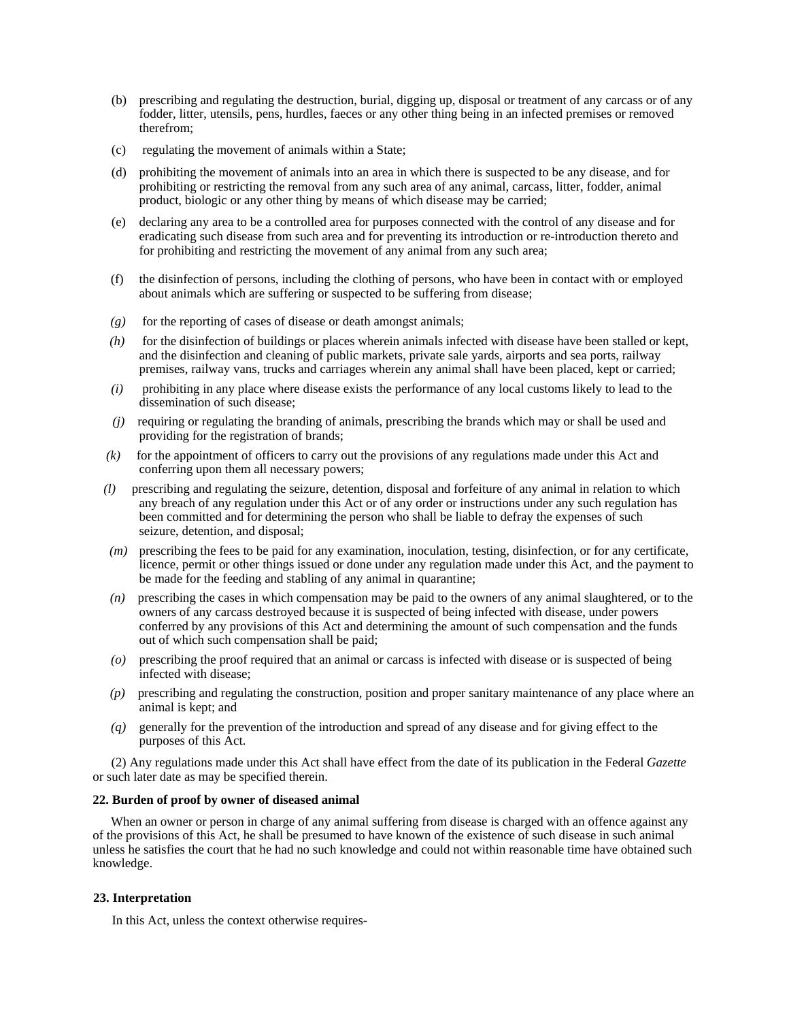- (b) prescribing and regulating the destruction, burial, digging up, disposal or treatment of any carcass or of any fodder, litter, utensils, pens, hurdles, faeces or any other thing being in an infected premises or removed therefrom;
- (c) regulating the movement of animals within a State;
- (d) prohibiting the movement of animals into an area in which there is suspected to be any disease, and for prohibiting or restricting the removal from any such area of any animal, carcass, litter, fodder, animal product, biologic or any other thing by means of which disease may be carried;
- (e) declaring any area to be a controlled area for purposes connected with the control of any disease and for eradicating such disease from such area and for preventing its introduction or re-introduction thereto and for prohibiting and restricting the movement of any animal from any such area;
- (f) the disinfection of persons, including the clothing of persons, who have been in contact with or employed about animals which are suffering or suspected to be suffering from disease;
- $(g)$  for the reporting of cases of disease or death amongst animals;
- *(h)* for the disinfection of buildings or places wherein animals infected with disease have been stalled or kept, and the disinfection and cleaning of public markets, private sale yards, airports and sea ports, railway premises, railway vans, trucks and carriages wherein any animal shall have been placed, kept or carried;
- *(i)* prohibiting in any place where disease exists the performance of any local customs likely to lead to the dissemination of such disease;
- *(j)* requiring or regulating the branding of animals, prescribing the brands which may or shall be used and providing for the registration of brands;
- *(k)* for the appointment of officers to carry out the provisions of any regulations made under this Act and conferring upon them all necessary powers;
- *(l)* prescribing and regulating the seizure, detention, disposal and forfeiture of any animal in relation to which any breach of any regulation under this Act or of any order or instructions under any such regulation has been committed and for determining the person who shall be liable to defray the expenses of such seizure, detention, and disposal;
- *(m)* prescribing the fees to be paid for any examination, inoculation, testing, disinfection, or for any certificate, licence, permit or other things issued or done under any regulation made under this Act, and the payment to be made for the feeding and stabling of any animal in quarantine;
- *(n)* prescribing the cases in which compensation may be paid to the owners of any animal slaughtered, or to the owners of any carcass destroyed because it is suspected of being infected with disease, under powers conferred by any provisions of this Act and determining the amount of such compensation and the funds out of which such compensation shall be paid;
- *(o)* prescribing the proof required that an animal or carcass is infected with disease or is suspected of being infected with disease;
- *(p)* prescribing and regulating the construction, position and proper sanitary maintenance of any place where an animal is kept; and
- *(q)* generally for the prevention of the introduction and spread of any disease and for giving effect to the purposes of this Act.

(2) Any regulations made under this Act shall have effect from the date of its publication in the Federal *Gazette*  or such later date as may be specified therein.

#### **22. Burden of proof by owner of diseased animal**

When an owner or person in charge of any animal suffering from disease is charged with an offence against any of the provisions of this Act, he shall be presumed to have known of the existence of such disease in such animal unless he satisfies the court that he had no such knowledge and could not within reasonable time have obtained such knowledge.

# **23. Interpretation**

In this Act, unless the context otherwise requires-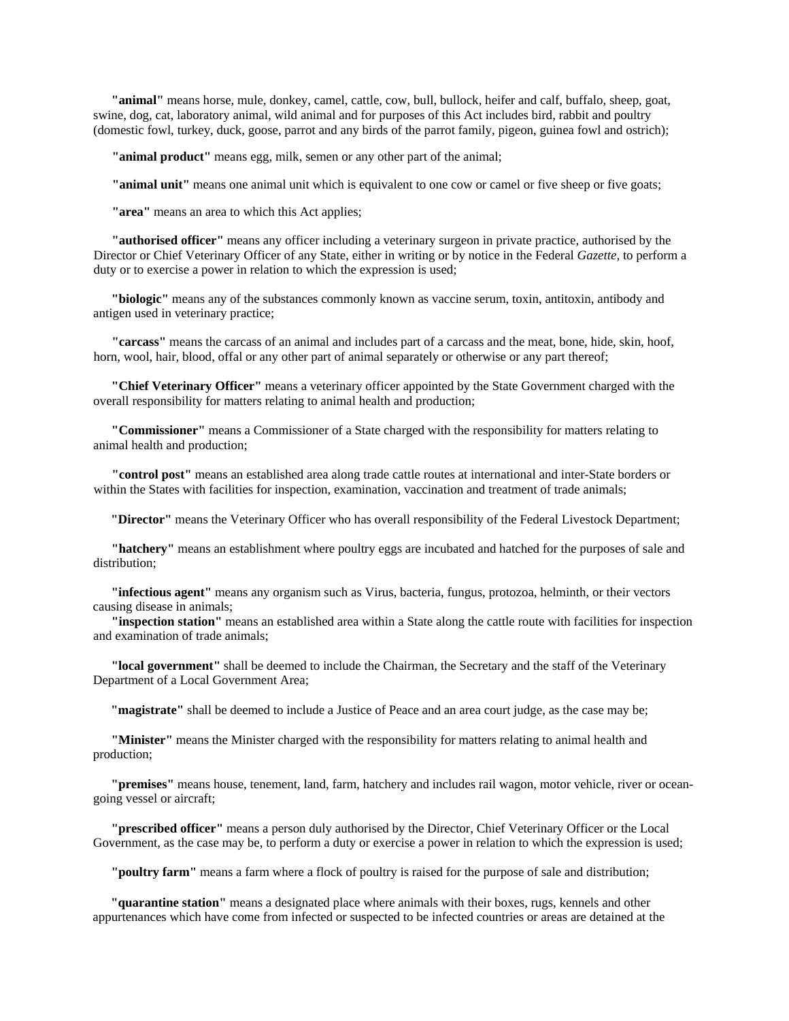**"animal"** means horse, mule, donkey, camel, cattle, cow, bull, bullock, heifer and calf, buffalo, sheep, goat, swine, dog, cat, laboratory animal, wild animal and for purposes of this Act includes bird, rabbit and poultry (domestic fowl, turkey, duck, goose, parrot and any birds of the parrot family, pigeon, guinea fowl and ostrich);

**"animal product"** means egg, milk, semen or any other part of the animal;

**"animal unit"** means one animal unit which is equivalent to one cow or camel or five sheep or five goats;

**"area"** means an area to which this Act applies;

**"authorised officer"** means any officer including a veterinary surgeon in private practice, authorised by the Director or Chief Veterinary Officer of any State, either in writing or by notice in the Federal *Gazette,* to perform a duty or to exercise a power in relation to which the expression is used;

**"biologic"** means any of the substances commonly known as vaccine serum, toxin, antitoxin, antibody and antigen used in veterinary practice;

**"carcass"** means the carcass of an animal and includes part of a carcass and the meat, bone, hide, skin, hoof, horn, wool, hair, blood, offal or any other part of animal separately or otherwise or any part thereof;

**"Chief Veterinary Officer"** means a veterinary officer appointed by the State Government charged with the overall responsibility for matters relating to animal health and production;

**"Commissioner"** means a Commissioner of a State charged with the responsibility for matters relating to animal health and production;

**"control post"** means an established area along trade cattle routes at international and inter-State borders or within the States with facilities for inspection, examination, vaccination and treatment of trade animals;

**"Director"** means the Veterinary Officer who has overall responsibility of the Federal Livestock Department;

**"hatchery"** means an establishment where poultry eggs are incubated and hatched for the purposes of sale and distribution;

**"infectious agent"** means any organism such as Virus, bacteria, fungus, protozoa, helminth, or their vectors causing disease in animals;

**"inspection station"** means an established area within a State along the cattle route with facilities for inspection and examination of trade animals;

**"local government"** shall be deemed to include the Chairman, the Secretary and the staff of the Veterinary Department of a Local Government Area;

**"magistrate"** shall be deemed to include a Justice of Peace and an area court judge, as the case may be;

**"Minister"** means the Minister charged with the responsibility for matters relating to animal health and production;

**"premises"** means house, tenement, land, farm, hatchery and includes rail wagon, motor vehicle, river or oceangoing vessel or aircraft;

**"prescribed officer"** means a person duly authorised by the Director, Chief Veterinary Officer or the Local Government, as the case may be, to perform a duty or exercise a power in relation to which the expression is used;

**"poultry farm"** means a farm where a flock of poultry is raised for the purpose of sale and distribution;

**"quarantine station"** means a designated place where animals with their boxes, rugs, kennels and other appurtenances which have come from infected or suspected to be infected countries or areas are detained at the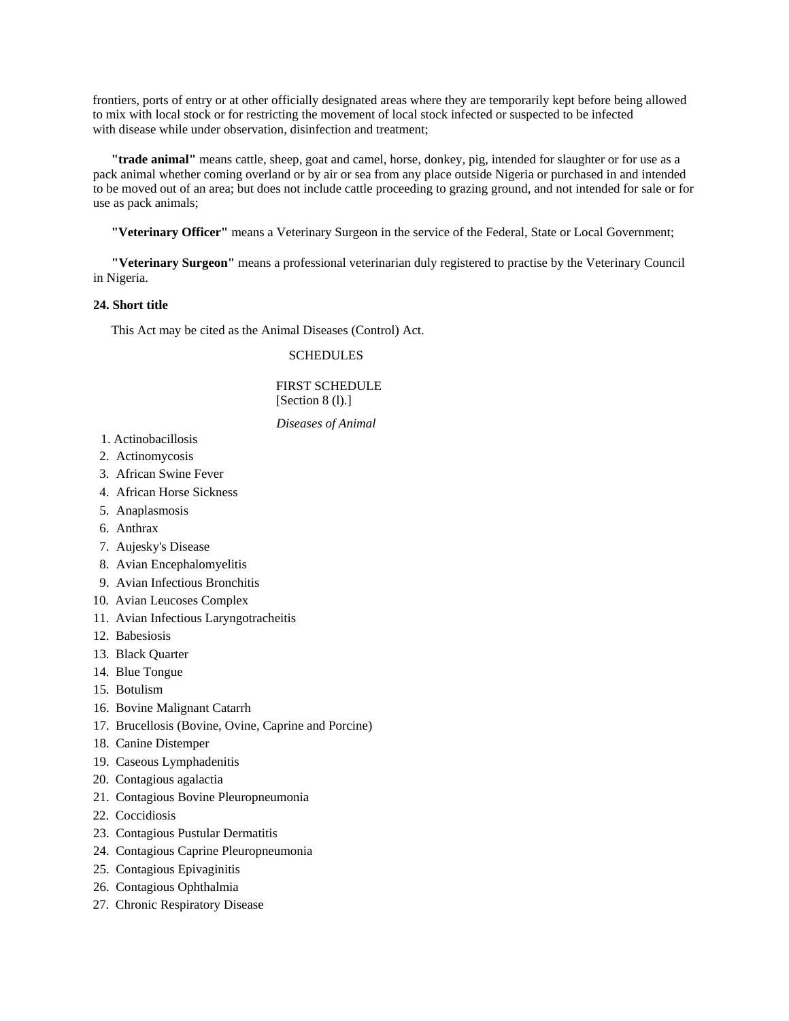frontiers, ports of entry or at other officially designated areas where they are temporarily kept before being allowed to mix with local stock or for restricting the movement of local stock infected or suspected to be infected with disease while under observation, disinfection and treatment;

**"trade animal"** means cattle, sheep, goat and camel, horse, donkey, pig, intended for slaughter or for use as a pack animal whether coming overland or by air or sea from any place outside Nigeria or purchased in and intended to be moved out of an area; but does not include cattle proceeding to grazing ground, and not intended for sale or for use as pack animals;

**"Veterinary Officer"** means a Veterinary Surgeon in the service of the Federal, State or Local Government;

**"Veterinary Surgeon"** means a professional veterinarian duly registered to practise by the Veterinary Council in Nigeria.

# **24. Short title**

This Act may be cited as the Animal Diseases (Control) Act.

# **SCHEDULES**

# FIRST SCHEDULE [Section 8 (l).]

# *Diseases of Animal*

- 1. Actinobacillosis
- 2. Actinomycosis
- 3. African Swine Fever
- 4. African Horse Sickness
- 5. Anaplasmosis
- 6. Anthrax
- 7. Aujesky's Disease
- 8. Avian Encephalomyelitis
- 9. Avian Infectious Bronchitis
- 10. Avian Leucoses Complex
- 11. Avian Infectious Laryngotracheitis
- 12. Babesiosis
- 13. Black Quarter
- 14. Blue Tongue
- 15. Botulism
- 16. Bovine Malignant Catarrh
- 17. Brucellosis (Bovine, Ovine, Caprine and Porcine)
- 18. Canine Distemper
- 19. Caseous Lymphadenitis
- 20. Contagious agalactia
- 21. Contagious Bovine Pleuropneumonia
- 22. Coccidiosis
- 23. Contagious Pustular Dermatitis
- 24. Contagious Caprine Pleuropneumonia
- 25. Contagious Epivaginitis
- 26. Contagious Ophthalmia
- 27. Chronic Respiratory Disease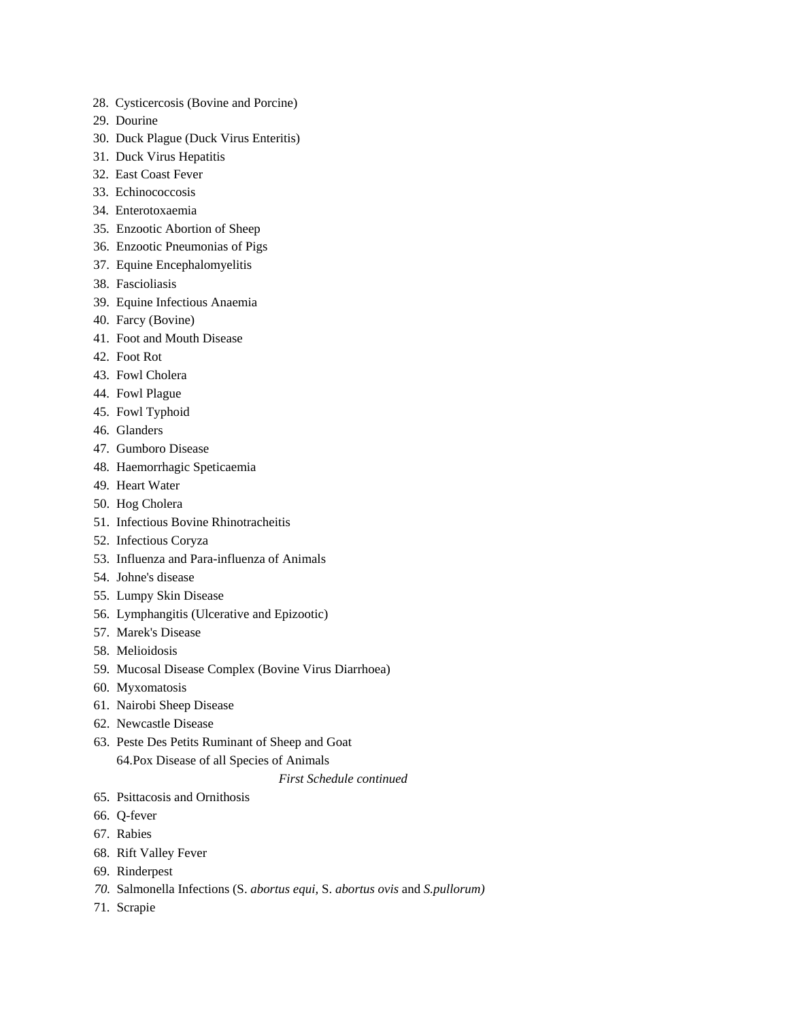- 28. Cysticercosis (Bovine and Porcine)
- 29. Dourine
- 30. Duck Plague (Duck Virus Enteritis)
- 31. Duck Virus Hepatitis
- 32. East Coast Fever
- 33. Echinococcosis
- 34. Enterotoxaemia
- 35. Enzootic Abortion of Sheep
- 36. Enzootic Pneumonias of Pigs
- 37. Equine Encephalomyelitis
- 38. Fascioliasis
- 39. Equine Infectious Anaemia
- 40. Farcy (Bovine)
- 41. Foot and Mouth Disease
- 42. Foot Rot
- 43. Fowl Cholera
- 44. Fowl Plague
- 45. Fowl Typhoid
- 46. Glanders
- 47. Gumboro Disease
- 48. Haemorrhagic Speticaemia
- 49. Heart Water
- 50. Hog Cholera
- 51. Infectious Bovine Rhinotracheitis
- 52. Infectious Coryza
- 53. Influenza and Para-influenza of Animals
- 54. Johne's disease
- 55. Lumpy Skin Disease
- 56. Lymphangitis (Ulcerative and Epizootic)
- 57. Marek's Disease
- 58. Melioidosis
- 59. Mucosal Disease Complex (Bovine Virus Diarrhoea)
- 60. Myxomatosis
- 61. Nairobi Sheep Disease
- 62. Newcastle Disease
- 63. Peste Des Petits Ruminant of Sheep and Goat 64.Pox Disease of all Species of Animals
	- *First Schedule continued*
- 65. Psittacosis and Ornithosis
- 66. Q-fever
- 67. Rabies
- 68. Rift Valley Fever
- 69. Rinderpest
- *70.* Salmonella Infections (S. *abortus equi,* S. *abortus ovis* and *S.pullorum)*
- 71. Scrapie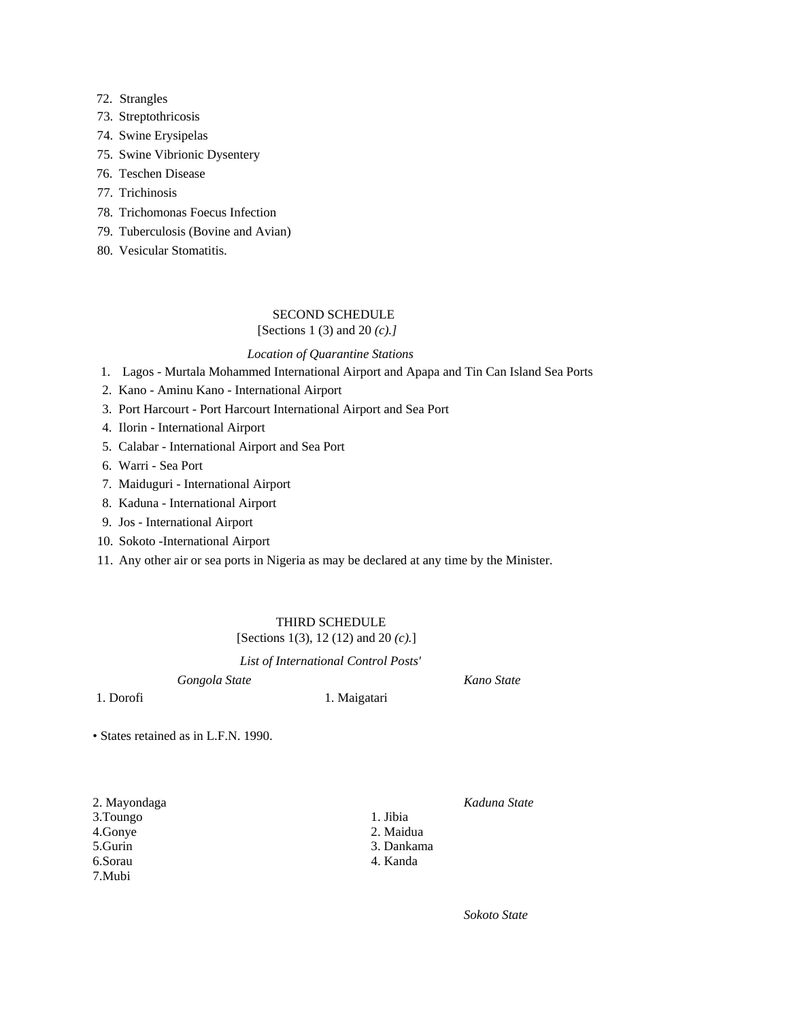# 72. Strangles

- 73. Streptothricosis
- 74. Swine Erysipelas
- 75. Swine Vibrionic Dysentery
- 76. Teschen Disease
- 77. Trichinosis
- 78. Trichomonas Foecus Infection
- 79. Tuberculosis (Bovine and Avian)
- 80. Vesicular Stomatitis.

# SECOND SCHEDULE

# [Sections 1 (3) and 20 *(c).]*

# *Location of Quarantine Stations*

- 1. Lagos Murtala Mohammed International Airport and Apapa and Tin Can Island Sea Ports
- 2. Kano Aminu Kano International Airport
- 3. Port Harcourt Port Harcourt International Airport and Sea Port
- 4. Ilorin International Airport
- 5. Calabar International Airport and Sea Port
- 6. Warri Sea Port
- 7. Maiduguri International Airport
- 8. Kaduna International Airport
- 9. Jos International Airport
- 10. Sokoto -International Airport
- 11. Any other air or sea ports in Nigeria as may be declared at any time by the Minister.

# THIRD SCHEDULE

# [Sections 1(3), 12 (12) and 20 *(c).*]

*List of International Control Posts'* 

*Gongola State Kano State* 

1. Dorofi 1. Maigatari

• States retained as in L.F.N. 1990.

| 2. Mayondaga |
|--------------|
| 3.Toungo     |
| 4.Gonye      |
| 5.Gurin      |
| 6.Sorau      |
| 7.Mubi       |

2. Mayondaga *Kaduna State*

1. Jibia 2. Maidua

- 3. Dankama
- 4. Kanda

*Sokoto State*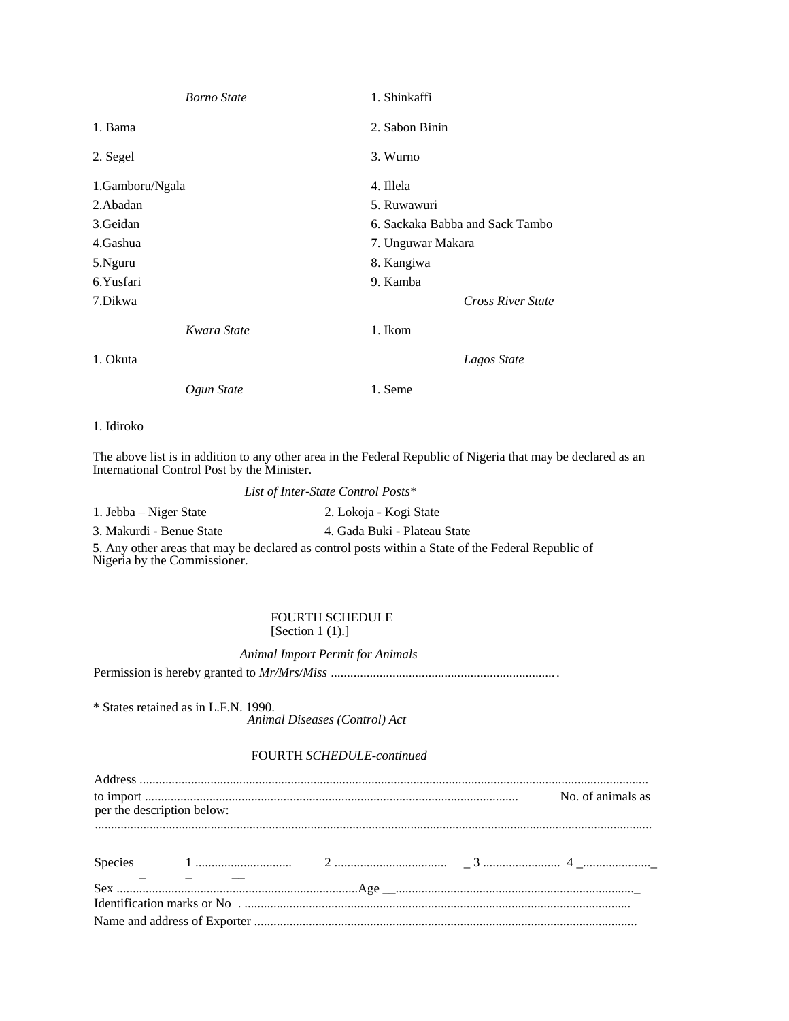| <b>Borno</b> State | 1. Shinkaffi                    |
|--------------------|---------------------------------|
| 1. Bama            | 2. Sabon Binin                  |
| 2. Segel           | 3. Wurno                        |
| 1.Gamboru/Ngala    | 4. Illela                       |
| 2.Abadan           | 5. Ruwawuri                     |
| 3.Geidan           | 6. Sackaka Babba and Sack Tambo |
| 4.Gashua           | 7. Unguwar Makara               |
| 5.Nguru            | 8. Kangiwa                      |
| 6.Yusfari          | 9. Kamba                        |
| 7.Dikwa            | <b>Cross River State</b>        |
| Kwara State        | 1. Ikom                         |
| 1. Okuta           | Lagos State                     |
| Ogun State         | 1. Seme                         |

## 1. Idiroko

The above list is in addition to any other area in the Federal Republic of Nigeria that may be declared as an International Control Post by the Minister.

*List of Inter-State Control Posts\** 

3. Makurdi - Benue State 4. Gada Buki - Plateau State

5. Any other areas that may be declared as control posts within a State of the Federal Republic of Nigeria by the Commissioner.

# FOURTH SCHEDULE [Section 1 (1).]

*Animal Import Permit for Animals* 

Permission is hereby granted to *Mr/Mrs/Miss .....................................................................* .

\* States retained as in L.F.N. 1990. *Animal Diseases (Control) Act* 

# FOURTH *SCHEDULE-continued*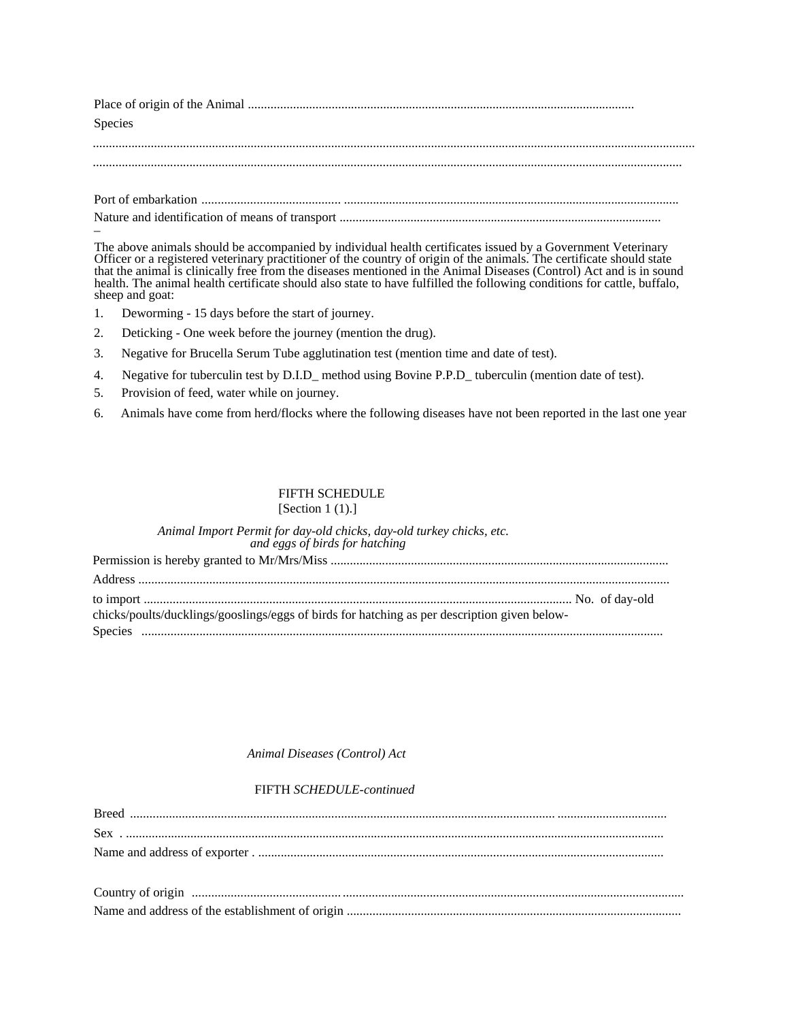Place of origin of the Animal ........................................................................................................................ Species

........................................................................................................................................................................................... .......................................................................................................................................................................................

 Port of embarkation ........................................... ........................................................................................................ Nature and identification of means of transport .................................................................................................... \_

The above animals should be accompanied by individual health certificates issued by a Government Veterinary Officer or a registered veterinary practitioner of the country of origin of the animals. The certificate should state that the animal is clinically free from the diseases mentioned in the Animal Diseases (Control) Act and is in sound health. The animal health certificate should also state to have fulfilled the following conditions for cattle, buffalo, sheep and goat:

- 1. Deworming 15 days before the start of journey.
- 2. Deticking One week before the journey (mention the drug).
- 3. Negative for Brucella Serum Tube agglutination test (mention time and date of test).
- 4. Negative for tuberculin test by D.I.D\_ method using Bovine P.P.D\_ tuberculin (mention date of test).
- 5. Provision of feed, water while on journey.
- 6. Animals have come from herd/flocks where the following diseases have not been reported in the last one year

# FIFTH SCHEDULE

| [Section $1(1).$ ] |
|--------------------|
|                    |

| Animal Import Permit for day-old chicks, day-old turkey chicks, etc.<br>and eggs of birds for hatching |  |
|--------------------------------------------------------------------------------------------------------|--|
|                                                                                                        |  |
|                                                                                                        |  |
| chicks/poults/ducklings/gooslings/eggs of birds for hatching as per description given below-           |  |
|                                                                                                        |  |

# *Animal Diseases (Control) Act*

# FIFTH *SCHEDULE-continued*

Name and address of the establishment of origin ........................................................................................................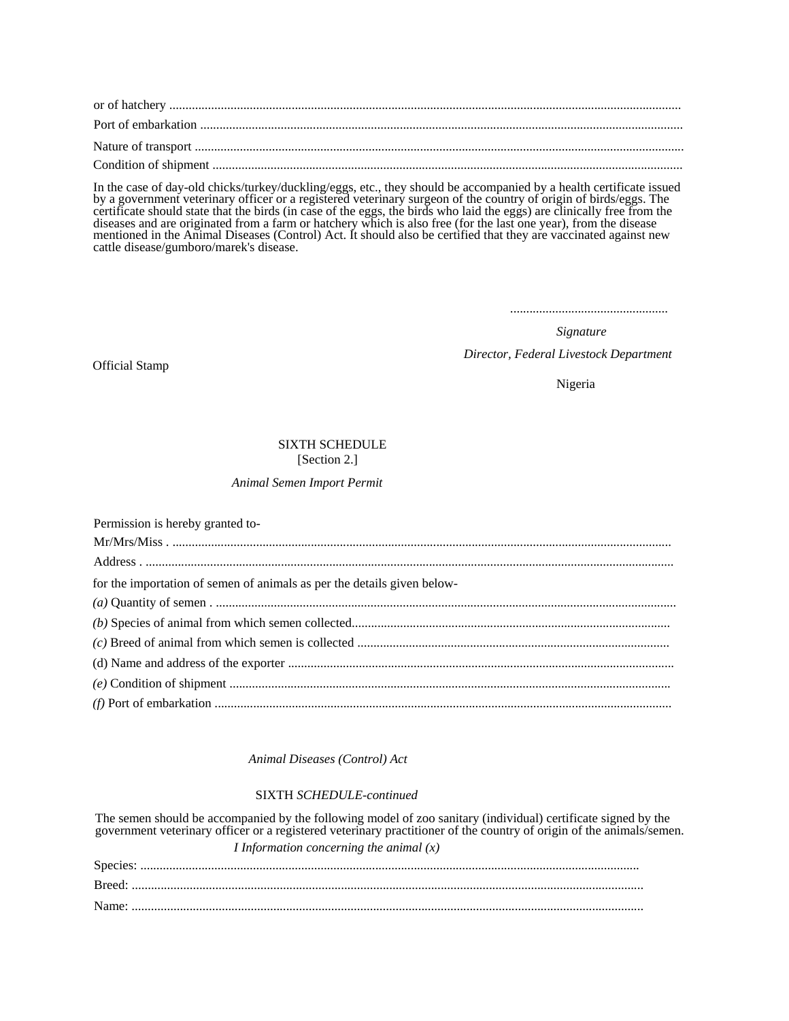In the case of day-old chicks/turkey/duckling/eggs, etc., they should be accompanied by a health certificate issued by a government veterinary officer or a registered veterinary surgeon of the country of origin of birds/eggs. The certificate should state that the birds (in case of the eggs, the birds who laid the eggs) are clinically free from the diseases and are originated from a farm or hatchery which is also free (for the last one year), from the disease mentioned in the Animal Diseases (Control) Act. It should also be certified that they are vaccinated against new cattle disease/gumboro/marek's disease.

.................................................

*Signature Director, Federal Livestock Department* 

Official Stamp

Nigeria

# SIXTH SCHEDULE

[Section 2.]

# *Animal Semen Import Permit*

| Permission is hereby granted to-                                        |
|-------------------------------------------------------------------------|
|                                                                         |
|                                                                         |
| for the importation of semen of animals as per the details given below- |
|                                                                         |
|                                                                         |
|                                                                         |
|                                                                         |
|                                                                         |
|                                                                         |

# *Animal Diseases (Control) Act*

# SIXTH *SCHEDULE-continued*

The semen should be accompanied by the following model of zoo sanitary (individual) certificate signed by the government veterinary officer or a registered veterinary practitioner of the country of origin of the animals/semen. *I Information concerning the animal (x)*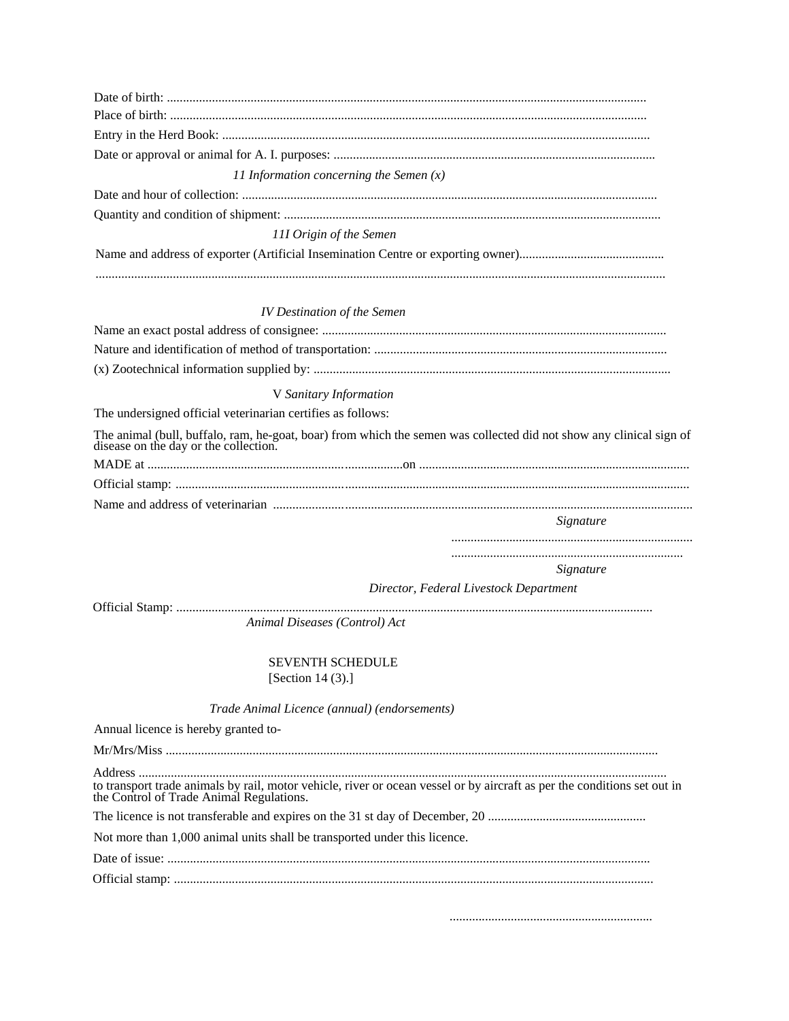| 11 Information concerning the Semen $(x)$                                                                                                                            |                                        |  |
|----------------------------------------------------------------------------------------------------------------------------------------------------------------------|----------------------------------------|--|
|                                                                                                                                                                      |                                        |  |
| 111 Origin of the Semen                                                                                                                                              |                                        |  |
|                                                                                                                                                                      |                                        |  |
| <b>IV Destination of the Semen</b>                                                                                                                                   |                                        |  |
|                                                                                                                                                                      |                                        |  |
|                                                                                                                                                                      |                                        |  |
|                                                                                                                                                                      |                                        |  |
| V Sanitary Information                                                                                                                                               |                                        |  |
| The undersigned official veterinarian certifies as follows:                                                                                                          |                                        |  |
| The animal (bull, buffalo, ram, he-goat, boar) from which the semen was collected did not show any clinical sign of<br>disease on the day or the collection.         |                                        |  |
|                                                                                                                                                                      |                                        |  |
|                                                                                                                                                                      |                                        |  |
|                                                                                                                                                                      |                                        |  |
|                                                                                                                                                                      | Signature                              |  |
|                                                                                                                                                                      |                                        |  |
|                                                                                                                                                                      | Signature                              |  |
|                                                                                                                                                                      | Director, Federal Livestock Department |  |
|                                                                                                                                                                      |                                        |  |
| Animal Diseases (Control) Act                                                                                                                                        |                                        |  |
| <b>SEVENTH SCHEDULE</b>                                                                                                                                              |                                        |  |
| [Section 14 $(3)$ .]                                                                                                                                                 |                                        |  |
| Trade Animal Licence (annual) (endorsements)                                                                                                                         |                                        |  |
|                                                                                                                                                                      |                                        |  |
|                                                                                                                                                                      |                                        |  |
| Annual licence is hereby granted to-                                                                                                                                 |                                        |  |
|                                                                                                                                                                      |                                        |  |
|                                                                                                                                                                      |                                        |  |
| to transport trade animals by rail, motor vehicle, river or ocean vessel or by aircraft as per the conditions set out in<br>the Control of Trade Animal Regulations. |                                        |  |
| Not more than 1,000 animal units shall be transported under this licence.                                                                                            |                                        |  |
|                                                                                                                                                                      |                                        |  |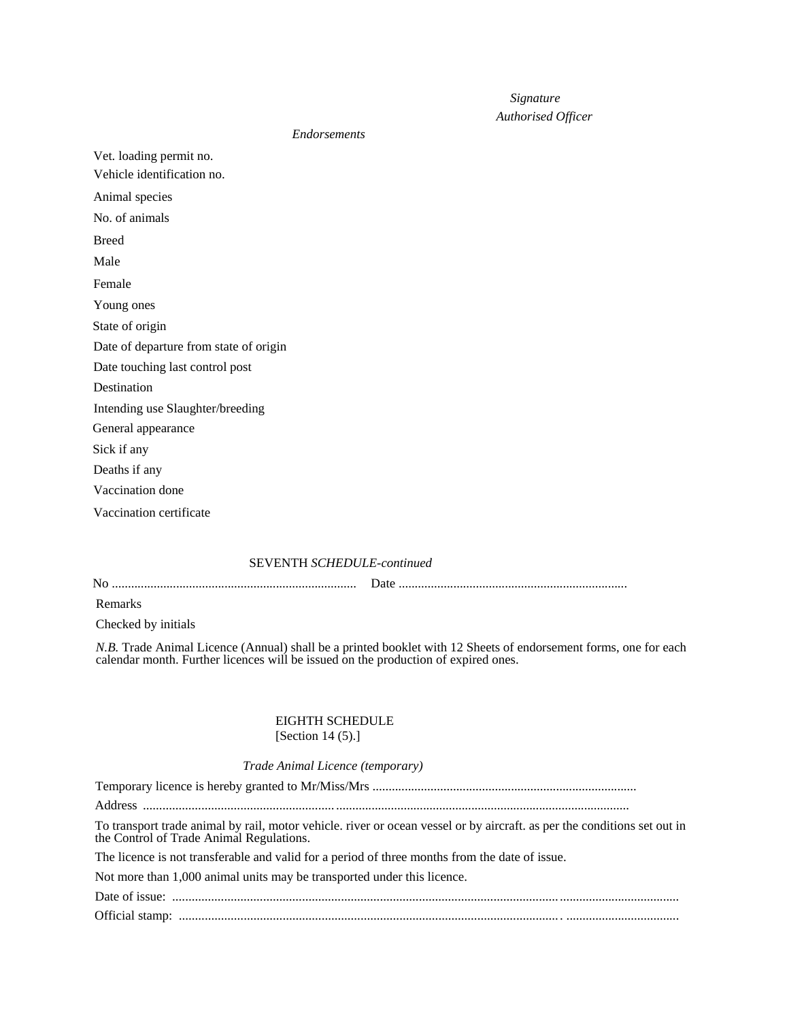# *Signature*

# *Authorised Officer*

### *Endorsements*

Vet. loading permit no. Vehicle identification no. Animal species No. of animals Breed Male Female Young ones State of origin Date of departure from state of origin Date touching last control post Destination Intending use Slaughter/breeding General appearance Sick if any Deaths if any Vaccination done Vaccination certificate

# SEVENTH *SCHEDULE-continued*

|--|--|

Remarks

Checked by initials

*N.B.* Trade Animal Licence (Annual) shall be a printed booklet with 12 Sheets of endorsement forms, one for each calendar month. Further licences will be issued on the production of expired ones.

# EIGHTH SCHEDULE

# [Section 14 (5).]

# *Trade Animal Licence (temporary)*

Temporary licence is hereby granted to Mr/Miss/Mrs ..................................................................................

Address ........................................................... ...........................................................................................

To transport trade animal by rail, motor vehicle. river or ocean vessel or by aircraft. as per the conditions set out in the Control of Trade Animal Regulations.

The licence is not transferable and valid for a period of three months from the date of issue.

Not more than 1,000 animal units may be transported under this licence.

 Date of issue: ....................................................................................................................... ..................................... Official stamp: ..................................................................................................................... . ...................................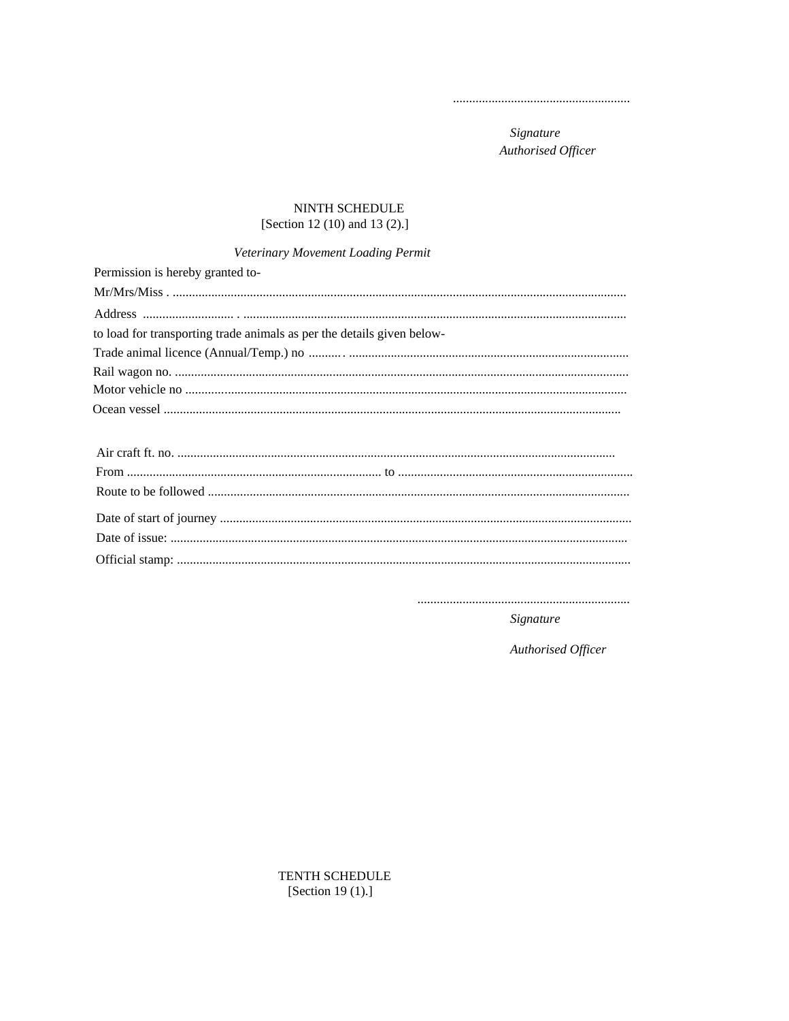Signature Authorised Officer

# NINTH SCHEDULE [Section 12 (10) and 13 (2).]

# Veterinary Movement Loading Permit

| Permission is hereby granted to-                                       |
|------------------------------------------------------------------------|
|                                                                        |
|                                                                        |
| to load for transporting trade animals as per the details given below- |
|                                                                        |
|                                                                        |
|                                                                        |
|                                                                        |
|                                                                        |

Signature

Authorised Officer

TENTH SCHEDULE [Section 19 (1).]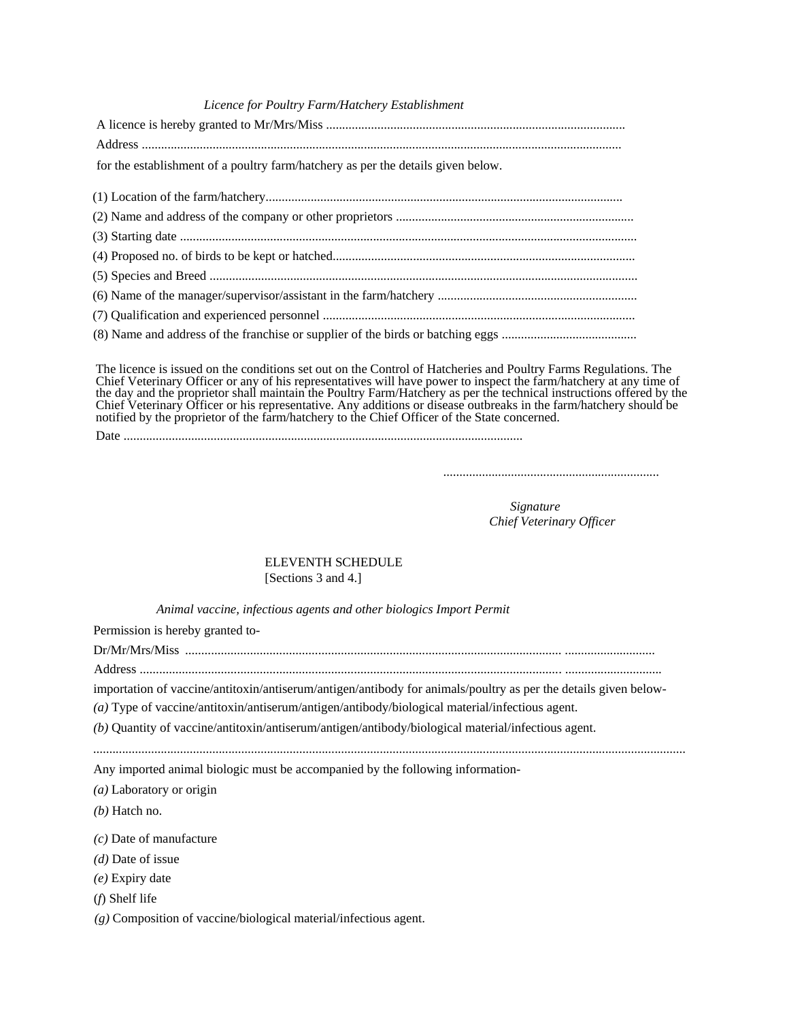### *Licence for Poultry Farm/Hatchery Establishment*

| for the establishment of a poultry farm/hatchery as per the details given below. |
|----------------------------------------------------------------------------------|
|                                                                                  |
|                                                                                  |
|                                                                                  |
|                                                                                  |
|                                                                                  |
|                                                                                  |
|                                                                                  |
|                                                                                  |
|                                                                                  |

The licence is issued on the conditions set out on the Control of Hatcheries and Poultry Farms Regulations. The Chief Veterinary Officer or any of his representatives will have power to inspect the farm/hatchery at any time of the day and the proprietor shall maintain the Poultry Farm/Hatchery as per the technical instructions offered by the Chief Veterinary Officer or his representative. Any additions or disease outbreaks in the farm/hatchery should be notified by the proprietor of the farm/hatchery to the Chief Officer of the State concerned.

Date ............................................................................................................................

*Signature Chief Veterinary Officer* 

# ELEVENTH SCHEDULE [Sections 3 and 4.]

*Animal vaccine, infectious agents and other biologics Import Permit* 

Permission is hereby granted to-

Dr/Mr/Mrs/Miss .................................................................................................................... ............................

Address ................................................................................................................................. . ..............................

importation of vaccine/antitoxin/antiserum/antigen/antibody for animals/poultry as per the details given below-

*(a)* Type of vaccine/antitoxin/antiserum/antigen/antibody/biological material/infectious agent.

*(b)* Quantity of vaccine/antitoxin/antiserum/antigen/antibody/biological material/infectious agent.

*........................................................................................................................................................................................*

Any imported animal biologic must be accompanied by the following information-

*(a)* Laboratory or origin

*(b)* Hatch no.

*(c)* Date of manufacture

*(d)* Date of issue

*(e)* Expiry date

(*f*) Shelf life

*(g)* Composition of vaccine/biological material/infectious agent.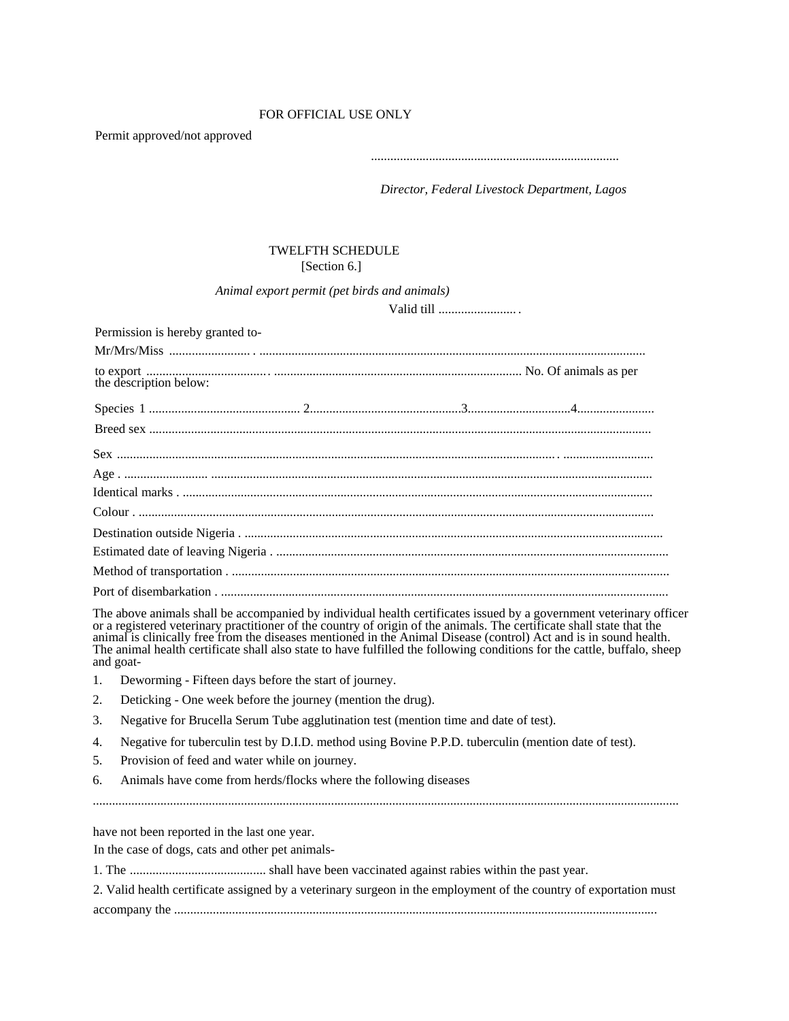# FOR OFFICIAL USE ONLY

Permit approved/not approved

.............................................................................

*Director, Federal Livestock Department, Lagos* 

# TWELFTH SCHEDULE [Section 6.]

# *Animal export permit (pet birds and animals)*

Valid till ........................ .

| Permission is hereby granted to- |  |  |
|----------------------------------|--|--|
|                                  |  |  |
|                                  |  |  |
|                                  |  |  |
|                                  |  |  |
|                                  |  |  |
|                                  |  |  |
|                                  |  |  |
|                                  |  |  |
|                                  |  |  |
|                                  |  |  |
|                                  |  |  |
|                                  |  |  |

The above animals shall be accompanied by individual health certificates issued by a government veterinary officer or a registered veterinary practitioner of the country of origin of the animals. The certificate shall state that the animal is clinically free from the diseases mentioned in the Animal Disease (control) Act and is in sound health. The animal health certificate shall also state to have fulfilled the following conditions for the cattle, buffalo, sheep and goat-

- 1. Deworming Fifteen days before the start of journey.
- 2. Deticking One week before the journey (mention the drug).
- 3. Negative for Brucella Serum Tube agglutination test (mention time and date of test).
- 4. Negative for tuberculin test by D.I.D. method using Bovine P.P.D. tuberculin (mention date of test).
- 5. Provision of feed and water while on journey.
- 6. Animals have come from herds/flocks where the following diseases

have not been reported in the last one year.

In the case of dogs, cats and other pet animals-

|  |  | 2. Valid health certificate assigned by a veterinary surgeon in the employment of the country of exportation must |
|--|--|-------------------------------------------------------------------------------------------------------------------|
|  |  |                                                                                                                   |

accompany the ......................................................................................................................................................

......................................................................................................................................................................................